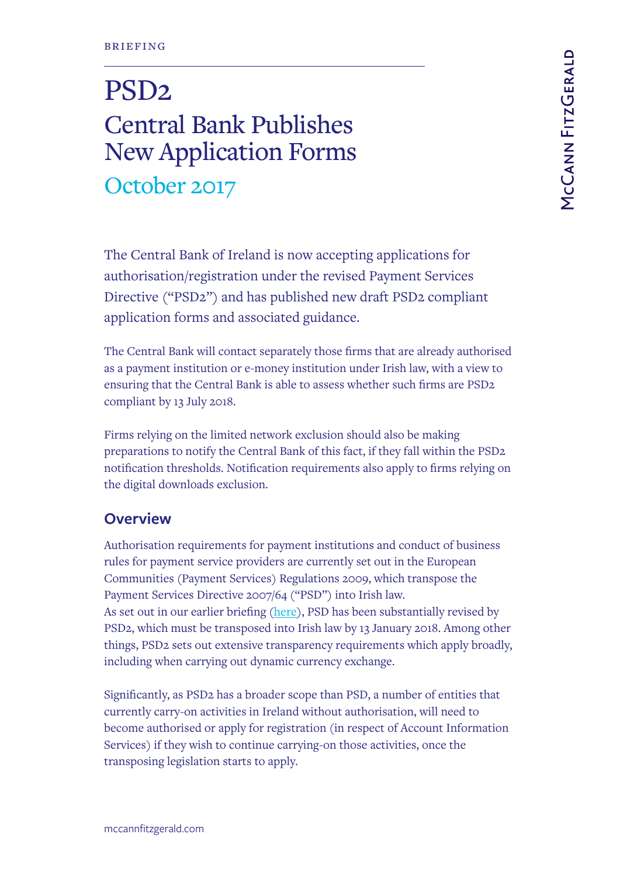# PSD2 Central Bank Publishes New Application Forms October 2017

The Central Bank of Ireland is now accepting applications for authorisation/registration under the revised Payment Services Directive ("PSD2") and has published new draft PSD2 compliant application forms and associated guidance.

The Central Bank will contact separately those firms that are already authorised as a payment institution or e-money institution under Irish law, with a view to ensuring that the Central Bank is able to assess whether such firms are PSD2 compliant by 13 July 2018.

Firms relying on the limited network exclusion should also be making preparations to notify the Central Bank of this fact, if they fall within the PSD2 notification thresholds. Notification requirements also apply to firms relying on the digital downloads exclusion.

# **Overview**

Authorisation requirements for payment institutions and conduct of business rules for payment service providers are currently set out in the European Communities (Payment Services) Regulations 2009, which transpose the Payment Services Directive 2007/64 ("PSD") into Irish law. As set out in our earlier briefing [\(here\)](https://www.mccannfitzgerald.com/knowledge/financial-services-regulation/coming-soon-a-new-regulatory-framework-for-payment-service-providers), PSD has been substantially revised by PSD2, which must be transposed into Irish law by 13 January 2018. Among other things, PSD2 sets out extensive transparency requirements which apply broadly, including when carrying out dynamic currency exchange.

Significantly, as PSD2 has a broader scope than PSD, a number of entities that currently carry-on activities in Ireland without authorisation, will need to become authorised or apply for registration (in respect of Account Information Services) if they wish to continue carrying-on those activities, once the transposing legislation starts to apply.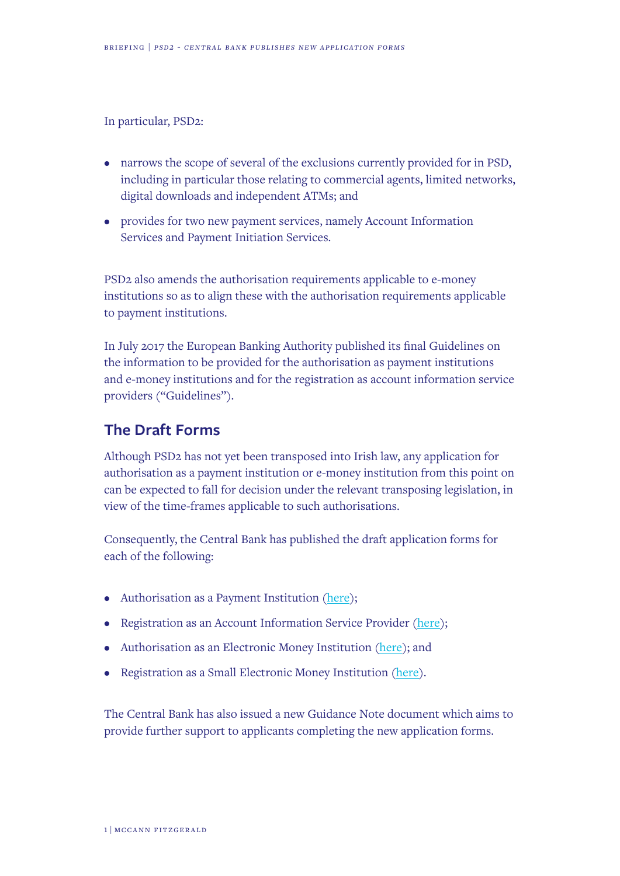In particular, PSD2:

- narrows the scope of several of the exclusions currently provided for in PSD, including in particular those relating to commercial agents, limited networks, digital downloads and independent ATMs; and
- provides for two new payment services, namely Account Information Services and Payment Initiation Services.

PSD2 also amends the authorisation requirements applicable to e-money institutions so as to align these with the authorisation requirements applicable to payment institutions.

In July 2017 the European Banking Authority published its final Guidelines on the information to be provided for the authorisation as payment institutions and e-money institutions and for the registration as account information service providers ("Guidelines").

#### **The Draft Forms**

Although PSD2 has not yet been transposed into Irish law, any application for authorisation as a payment institution or e-money institution from this point on can be expected to fall for decision under the relevant transposing legislation, in view of the time-frames applicable to such authorisations.

Consequently, the Central Bank has published the draft application forms for each of the following:

- Authorisation as a Payment Institution [\(here\)](https://www.centralbank.ie/docs/default-source/Regulation/industry-market-sectors/payment-institutions/forms/draft-application-for-authorisation-as-a-payment-institution.docx?sfvrsn=5);
- Registration as an Account Information Service Provider ([here\)](https://www.centralbank.ie/docs/default-source/Regulation/industry-market-sectors/Electronic-Money-Institutions/Forms/draft-application-for-registration-as-an-account-information-service-provider.docx?sfvrsn=6%20);
- Authorisation as an Electronic Money Institution ([here](https://www.centralbank.ie/docs/default-source/Regulation/industry-market-sectors/Electronic-Money-Institutions/Forms/draft-application-for-authorisation-as-an-electronic-money-institution.docx?sfvrsn=9)); and
- Registration as a Small Electronic Money Institution [\(here](https://www.centralbank.ie/docs/default-source/Regulation/industry-market-sectors/Electronic-Money-Institutions/Forms/draft-application-for-authorisation-as-a-small-electronic-money-institution.docx?sfvrsn=4)).

The Central Bank has also issued a new Guidance Note document which aims to provide further support to applicants completing the new application forms.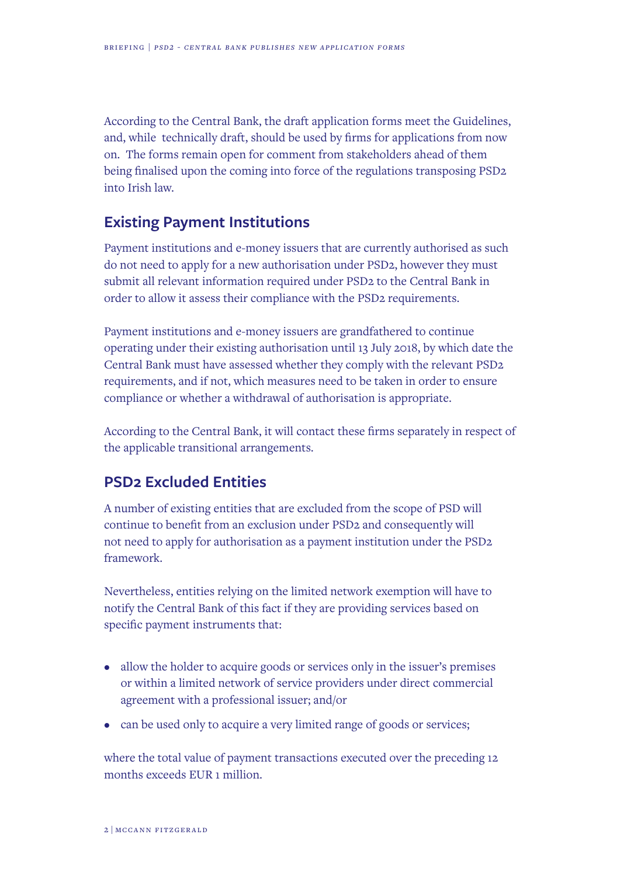According to the Central Bank, the draft application forms meet the Guidelines, and, while technically draft, should be used by firms for applications from now on. The forms remain open for comment from stakeholders ahead of them being finalised upon the coming into force of the regulations transposing PSD2 into Irish law.

# **Existing Payment Institutions**

Payment institutions and e-money issuers that are currently authorised as such do not need to apply for a new authorisation under PSD2, however they must submit all relevant information required under PSD2 to the Central Bank in order to allow it assess their compliance with the PSD2 requirements.

Payment institutions and e-money issuers are grandfathered to continue operating under their existing authorisation until 13 July 2018, by which date the Central Bank must have assessed whether they comply with the relevant PSD2 requirements, and if not, which measures need to be taken in order to ensure compliance or whether a withdrawal of authorisation is appropriate.

According to the Central Bank, it will contact these firms separately in respect of the applicable transitional arrangements.

# **PSD2 Excluded Entities**

A number of existing entities that are excluded from the scope of PSD will continue to benefit from an exclusion under PSD2 and consequently will not need to apply for authorisation as a payment institution under the PSD2 framework.

Nevertheless, entities relying on the limited network exemption will have to notify the Central Bank of this fact if they are providing services based on specific payment instruments that:

- allow the holder to acquire goods or services only in the issuer's premises or within a limited network of service providers under direct commercial agreement with a professional issuer; and/or
- can be used only to acquire a very limited range of goods or services;

where the total value of payment transactions executed over the preceding 12 months exceeds EUR 1 million.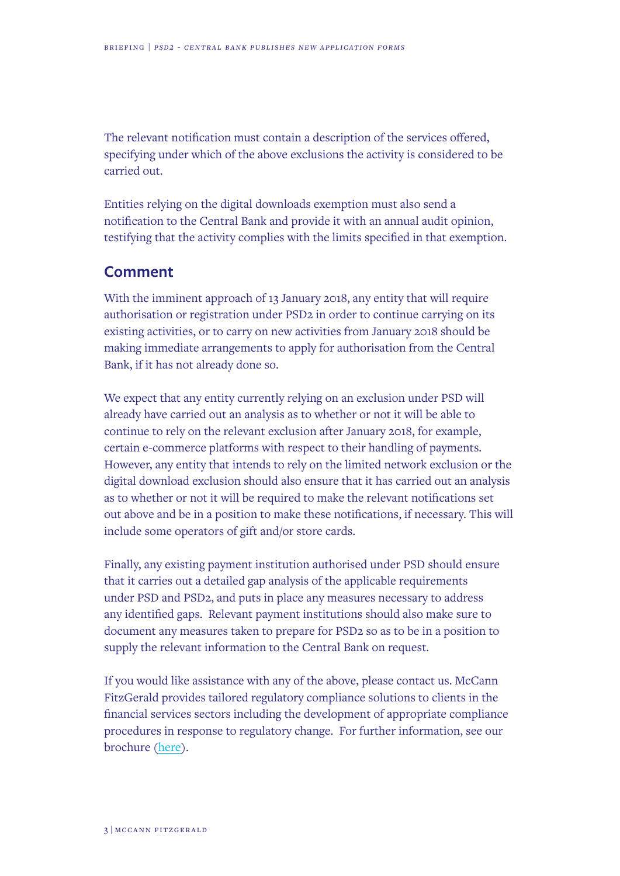The relevant notification must contain a description of the services offered, specifying under which of the above exclusions the activity is considered to be carried out.

Entities relying on the digital downloads exemption must also send a notification to the Central Bank and provide it with an annual audit opinion, testifying that the activity complies with the limits specified in that exemption.

#### **Comment**

With the imminent approach of 13 January 2018, any entity that will require authorisation or registration under PSD2 in order to continue carrying on its existing activities, or to carry on new activities from January 2018 should be making immediate arrangements to apply for authorisation from the Central Bank, if it has not already done so.

We expect that any entity currently relying on an exclusion under PSD will already have carried out an analysis as to whether or not it will be able to continue to rely on the relevant exclusion after January 2018, for example, certain e-commerce platforms with respect to their handling of payments. However, any entity that intends to rely on the limited network exclusion or the digital download exclusion should also ensure that it has carried out an analysis as to whether or not it will be required to make the relevant notifications set out above and be in a position to make these notifications, if necessary. This will include some operators of gift and/or store cards.

Finally, any existing payment institution authorised under PSD should ensure that it carries out a detailed gap analysis of the applicable requirements under PSD and PSD2, and puts in place any measures necessary to address any identified gaps. Relevant payment institutions should also make sure to document any measures taken to prepare for PSD2 so as to be in a position to supply the relevant information to the Central Bank on request.

If you would like assistance with any of the above, please contact us. McCann FitzGerald provides tailored regulatory compliance solutions to clients in the financial services sectors including the development of appropriate compliance procedures in response to regulatory change. For further information, see our brochure [\(here\)](https://www.mccannfitzgerald.com/uploads/MCFG_Expertise_Financial_Services_Compliance_Support.pdf).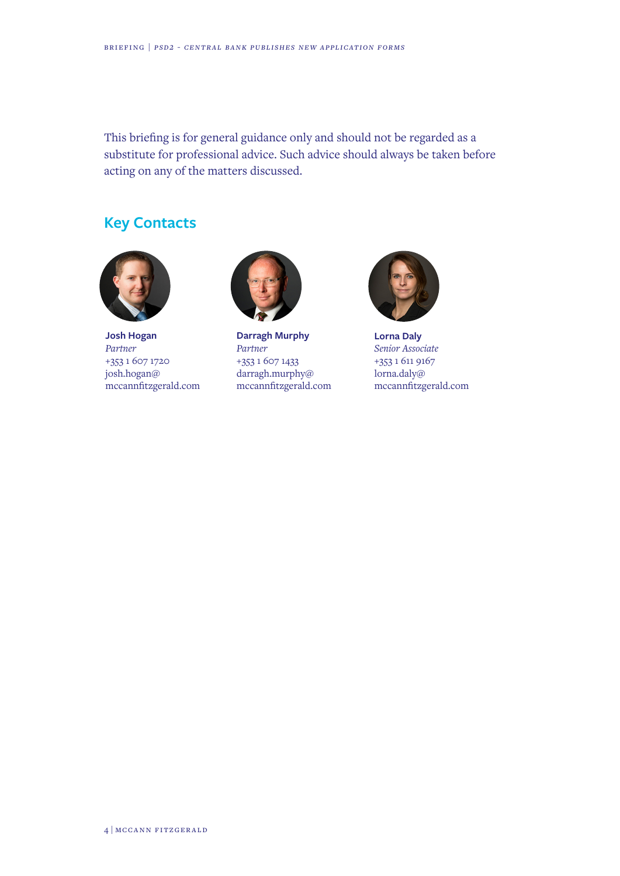This briefing is for general guidance only and should not be regarded as a substitute for professional advice. Such advice should always be taken before acting on any of the matters discussed.

# **Key Contacts**



**Josh Hogan** *Partner* +353 1 607 1720 josh.hogan@ mccannfitzgerald.com



**Darragh Murphy** *Partner* +353 1 607 1433 darragh.murphy@ mccannfitzgerald.com



**Lorna Daly** *Senior Associate* +353 1 611 9167 lorna.daly@ mccannfitzgerald.com